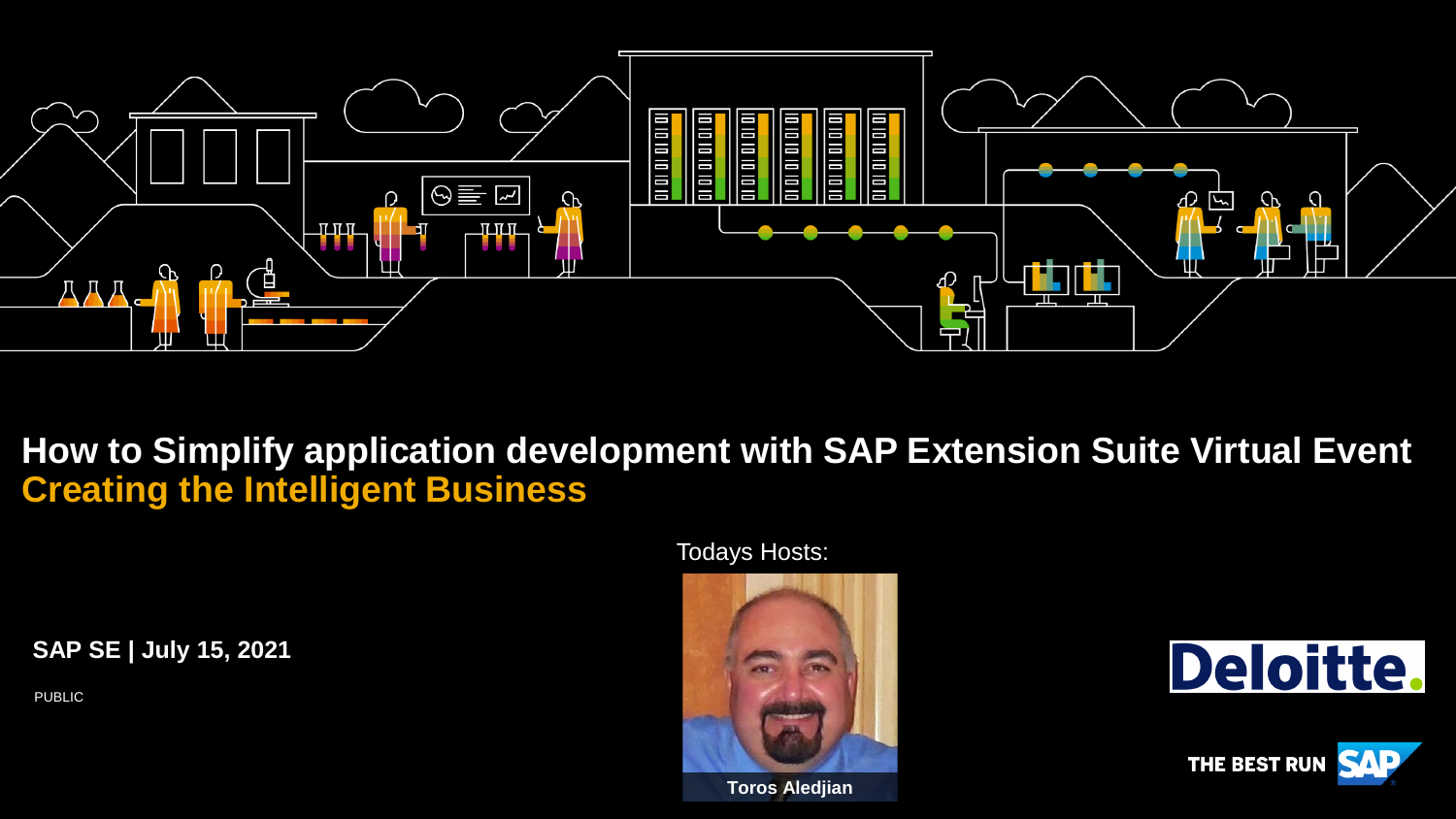

**How to Simplify application development with SAP Extension Suite Virtual Event Creating the Intelligent Business**

Todays Hosts:

**SAP SE | July 15, 2021**

PUBLIC







**Toros Aledjian**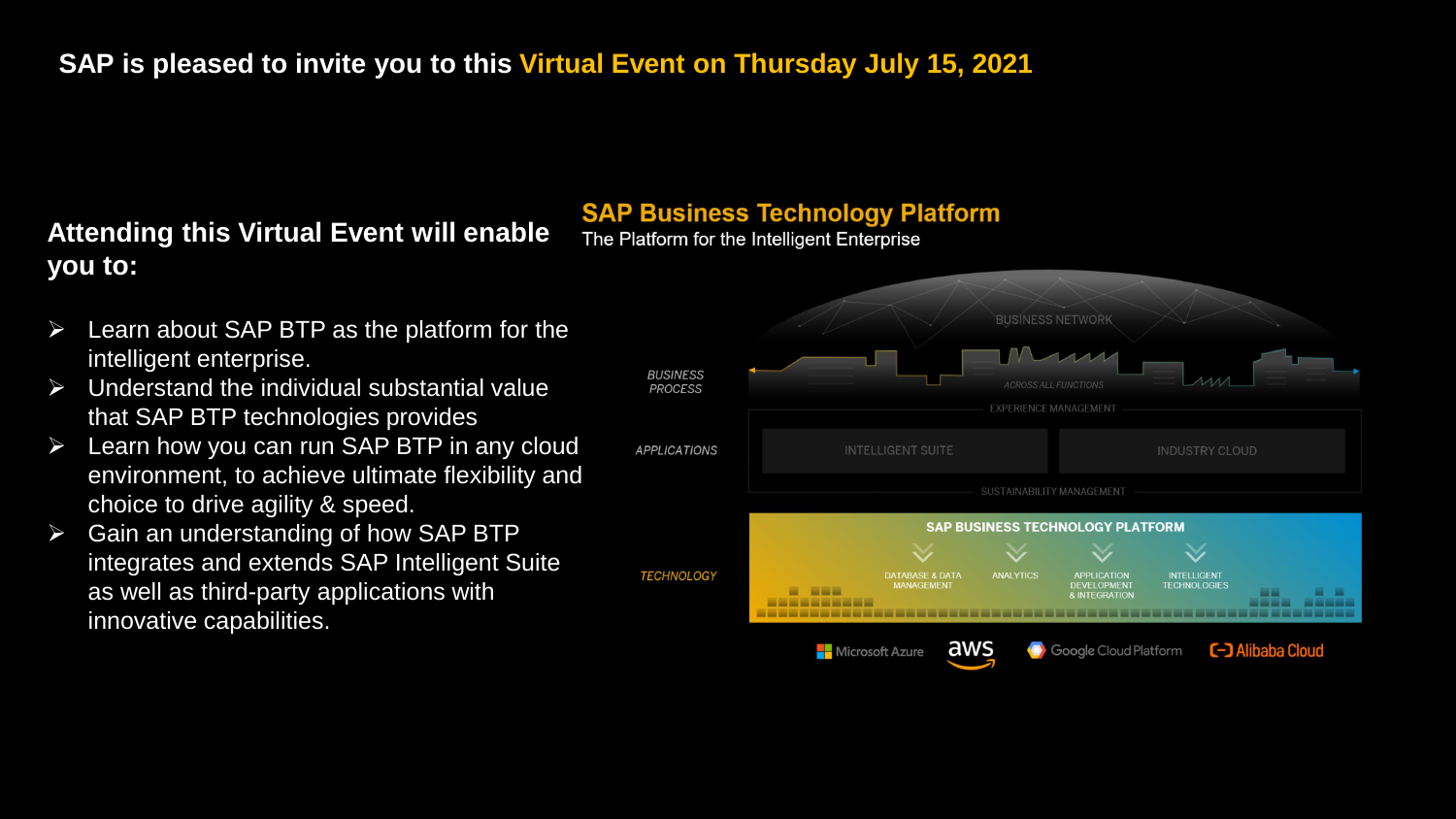#### **SAP is pleased to invite you to this Virtual Event on Thursday July 15, 2021**

#### **Attending this Virtual Event will enable you to:**

#### **SAP Business Technology Platform**

The Platform for the Intelligent Enterprise

- ➢ Learn about SAP BTP as the platform for the intelligent enterprise.
- ➢ Understand the individual substantial value that SAP BTP technologies provides
- $\triangleright$  Learn how you can run SAP BTP in any cloud environment, to achieve ultimate flexibility and choice to drive agility & speed.
- $\triangleright$  Gain an understanding of how SAP BTP integrates and extends SAP Intelligent Suite as well as third-party applications with innovative capabilities.

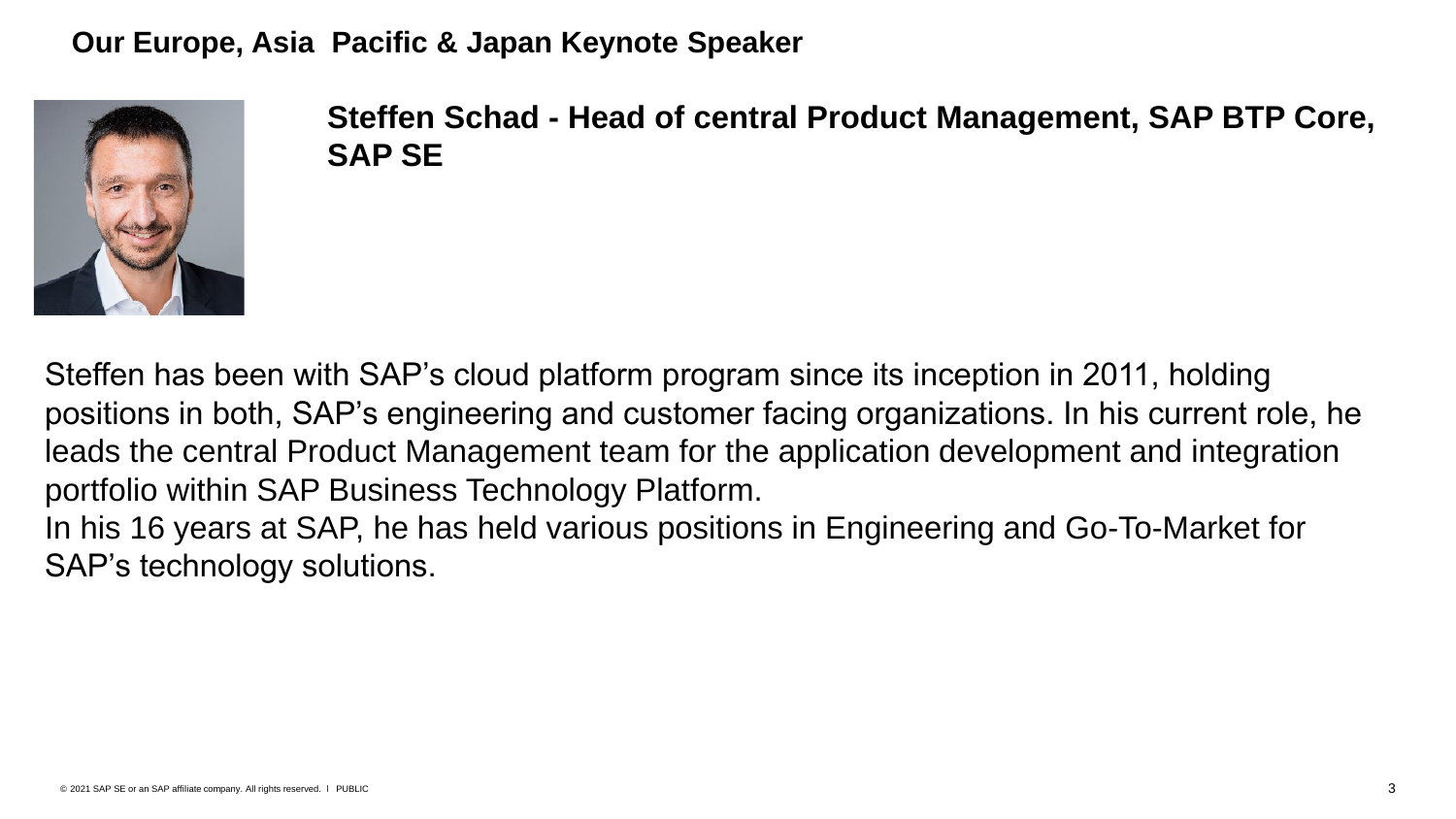**Our Europe, Asia Pacific & Japan Keynote Speaker**



**Steffen Schad - Head of central Product Management, SAP BTP Core, SAP SE**

Steffen has been with SAP's cloud platform program since its inception in 2011, holding positions in both, SAP's engineering and customer facing organizations. In his current role, he leads the central Product Management team for the application development and integration portfolio within SAP Business Technology Platform.

In his 16 years at SAP, he has held various positions in Engineering and Go-To-Market for SAP's technology solutions.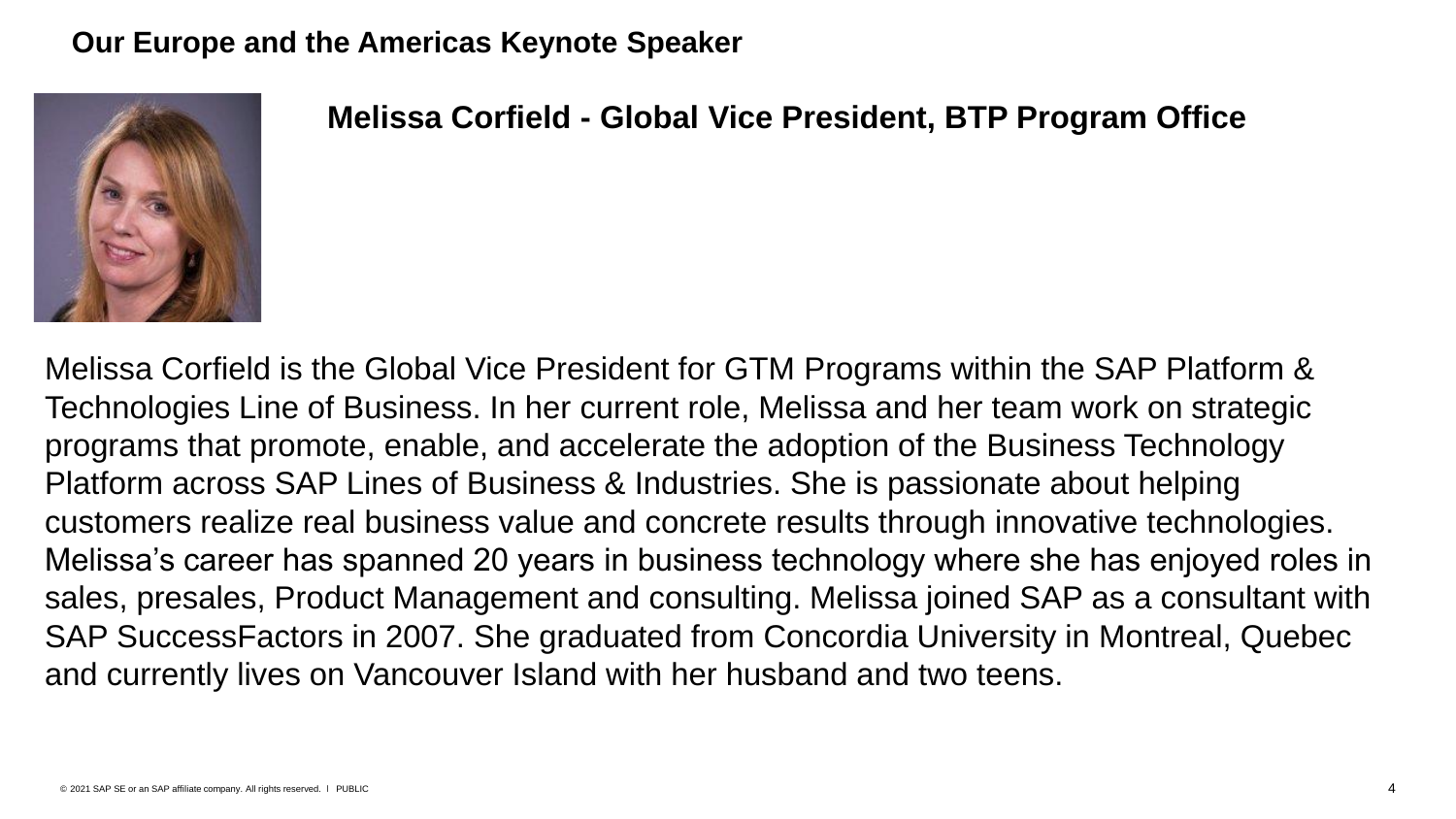#### **Our Europe and the Americas Keynote Speaker**



**Melissa Corfield - Global Vice President, BTP Program Office**

Melissa Corfield is the Global Vice President for GTM Programs within the SAP Platform & Technologies Line of Business. In her current role, Melissa and her team work on strategic programs that promote, enable, and accelerate the adoption of the Business Technology Platform across SAP Lines of Business & Industries. She is passionate about helping customers realize real business value and concrete results through innovative technologies. Melissa's career has spanned 20 years in business technology where she has enjoyed roles in sales, presales, Product Management and consulting. Melissa joined SAP as a consultant with SAP SuccessFactors in 2007. She graduated from Concordia University in Montreal, Quebec and currently lives on Vancouver Island with her husband and two teens.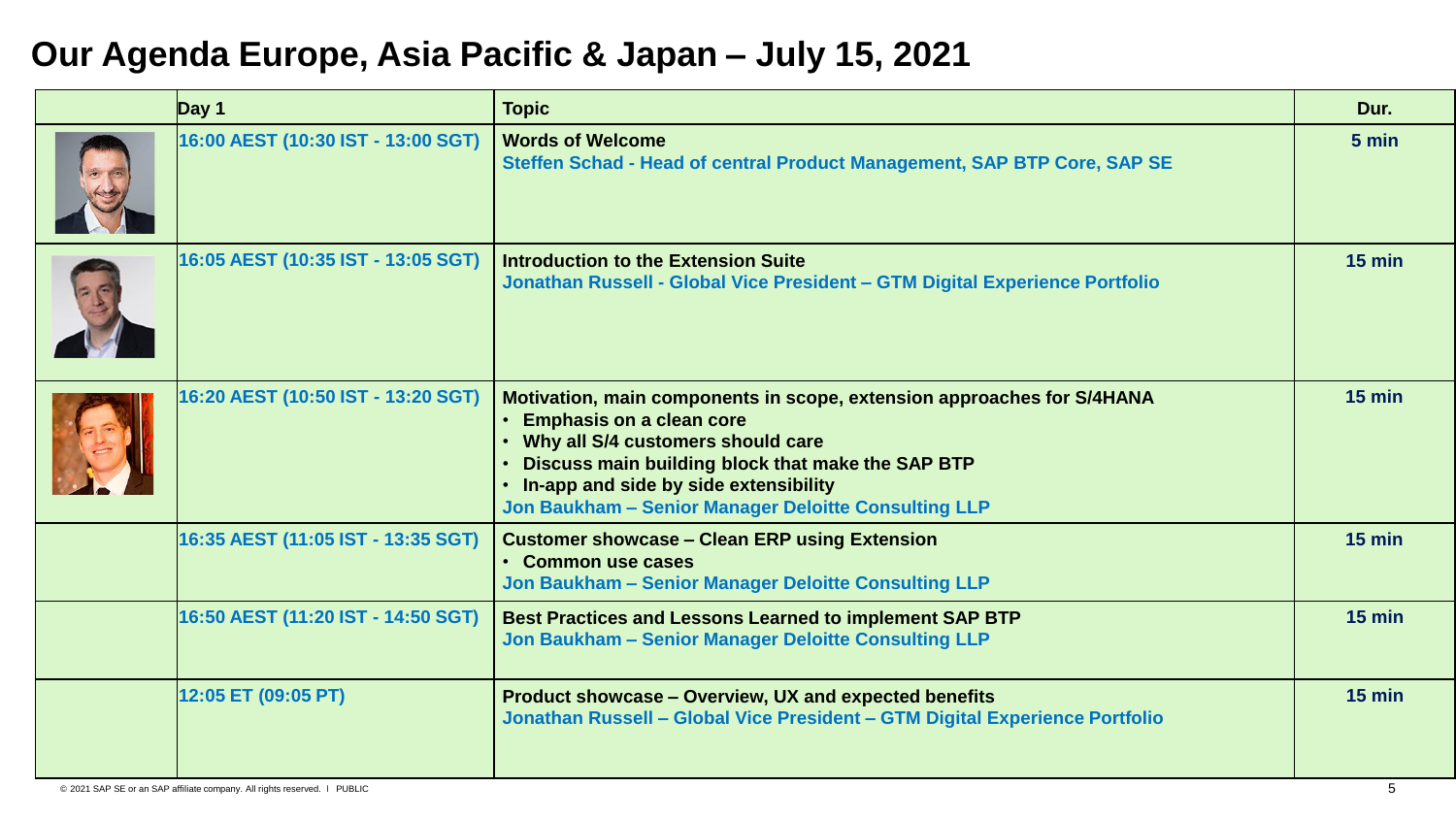# **Our Agenda Europe, Asia Pacific & Japan – July 15, 2021**

| Day 1                              | <b>Topic</b>                                                                                                                                                                                                                                                                                        | Dur.     |
|------------------------------------|-----------------------------------------------------------------------------------------------------------------------------------------------------------------------------------------------------------------------------------------------------------------------------------------------------|----------|
| 16:00 AEST (10:30 IST - 13:00 SGT) | <b>Words of Welcome</b><br>Steffen Schad - Head of central Product Management, SAP BTP Core, SAP SE                                                                                                                                                                                                 | 5 min    |
| 16:05 AEST (10:35 IST - 13:05 SGT) | Introduction to the Extension Suite<br>Jonathan Russell - Global Vice President - GTM Digital Experience Portfolio                                                                                                                                                                                  | $15$ min |
| 16:20 AEST (10:50 IST - 13:20 SGT) | Motivation, main components in scope, extension approaches for S/4HANA<br>• Emphasis on a clean core<br>• Why all S/4 customers should care<br>Discuss main building block that make the SAP BTP<br>• In-app and side by side extensibility<br>Jon Baukham - Senior Manager Deloitte Consulting LLP | $15$ min |
| 16:35 AEST (11:05 IST - 13:35 SGT) | <b>Customer showcase - Clean ERP using Extension</b><br>• Common use cases<br>Jon Baukham - Senior Manager Deloitte Consulting LLP                                                                                                                                                                  | $15$ min |
| 16:50 AEST (11:20 IST - 14:50 SGT) | Best Practices and Lessons Learned to implement SAP BTP<br>Jon Baukham - Senior Manager Deloitte Consulting LLP                                                                                                                                                                                     | $15$ min |
| 12:05 ET (09:05 PT)                | Product showcase - Overview, UX and expected benefits<br>Jonathan Russell - Global Vice President - GTM Digital Experience Portfolio                                                                                                                                                                | $15$ min |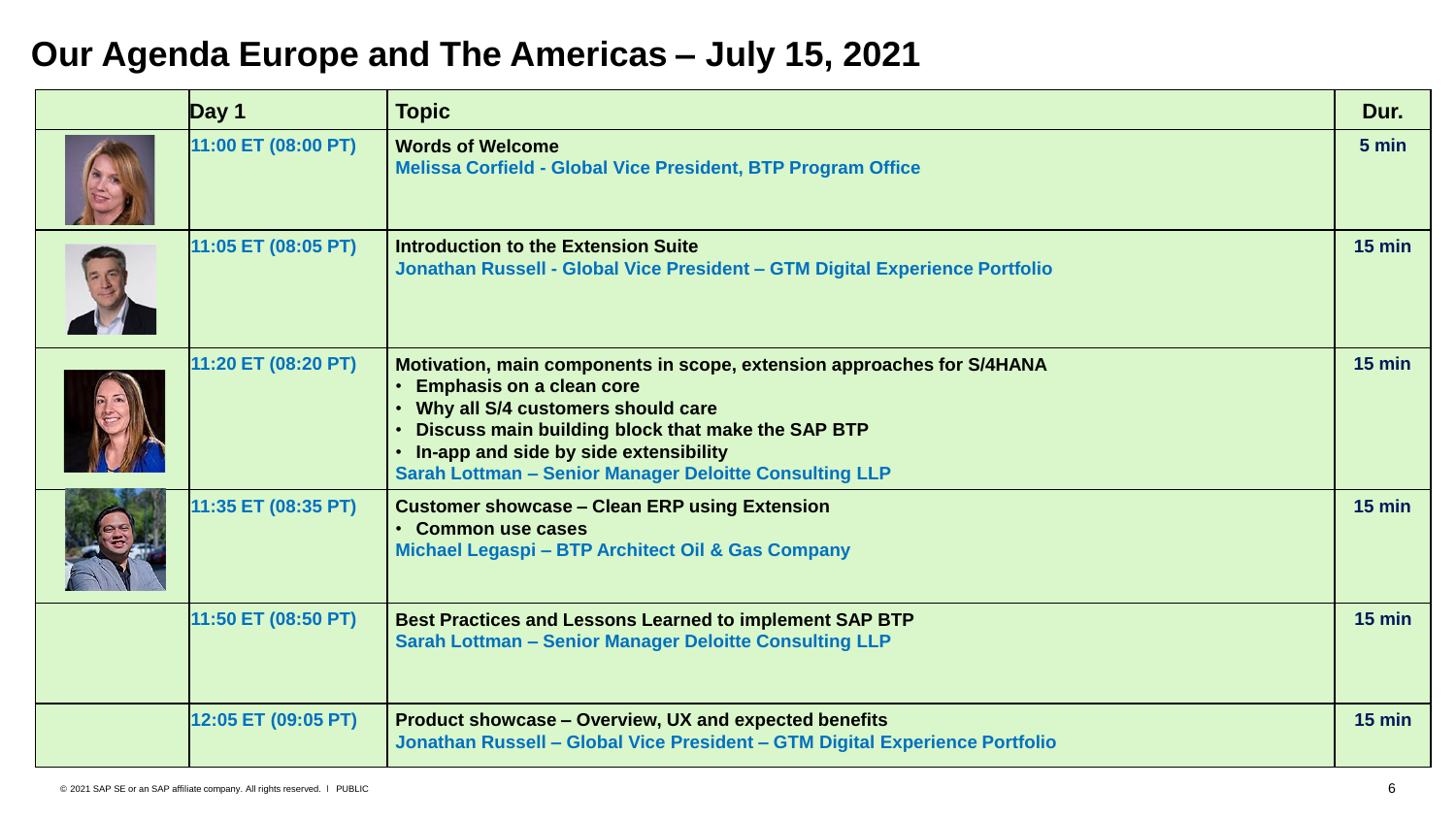## **Our Agenda Europe and The Americas – July 15, 2021**

| Day 1               | <b>Topic</b>                                                                                                                                                                                                                                                                                                      | Dur.     |
|---------------------|-------------------------------------------------------------------------------------------------------------------------------------------------------------------------------------------------------------------------------------------------------------------------------------------------------------------|----------|
| 11:00 ET (08:00 PT) | <b>Words of Welcome</b><br><b>Melissa Corfield - Global Vice President, BTP Program Office</b>                                                                                                                                                                                                                    | 5 min    |
| 11:05 ET (08:05 PT) | <b>Introduction to the Extension Suite</b><br>Jonathan Russell - Global Vice President - GTM Digital Experience Portfolio                                                                                                                                                                                         | $15$ min |
| 11:20 ET (08:20 PT) | Motivation, main components in scope, extension approaches for S/4HANA<br><b>Emphasis on a clean core</b><br>• Why all S/4 customers should care<br>Discuss main building block that make the SAP BTP<br>. In-app and side by side extensibility<br><b>Sarah Lottman - Senior Manager Deloitte Consulting LLP</b> | $15$ min |
| 11:35 ET (08:35 PT) | <b>Customer showcase - Clean ERP using Extension</b><br>• Common use cases<br>Michael Legaspi - BTP Architect Oil & Gas Company                                                                                                                                                                                   | $15$ min |
| 11:50 ET (08:50 PT) | <b>Best Practices and Lessons Learned to implement SAP BTP</b><br><b>Sarah Lottman - Senior Manager Deloitte Consulting LLP</b>                                                                                                                                                                                   | $15$ min |
| 12:05 ET (09:05 PT) | Product showcase - Overview, UX and expected benefits<br>Jonathan Russell - Global Vice President - GTM Digital Experience Portfolio                                                                                                                                                                              | $15$ min |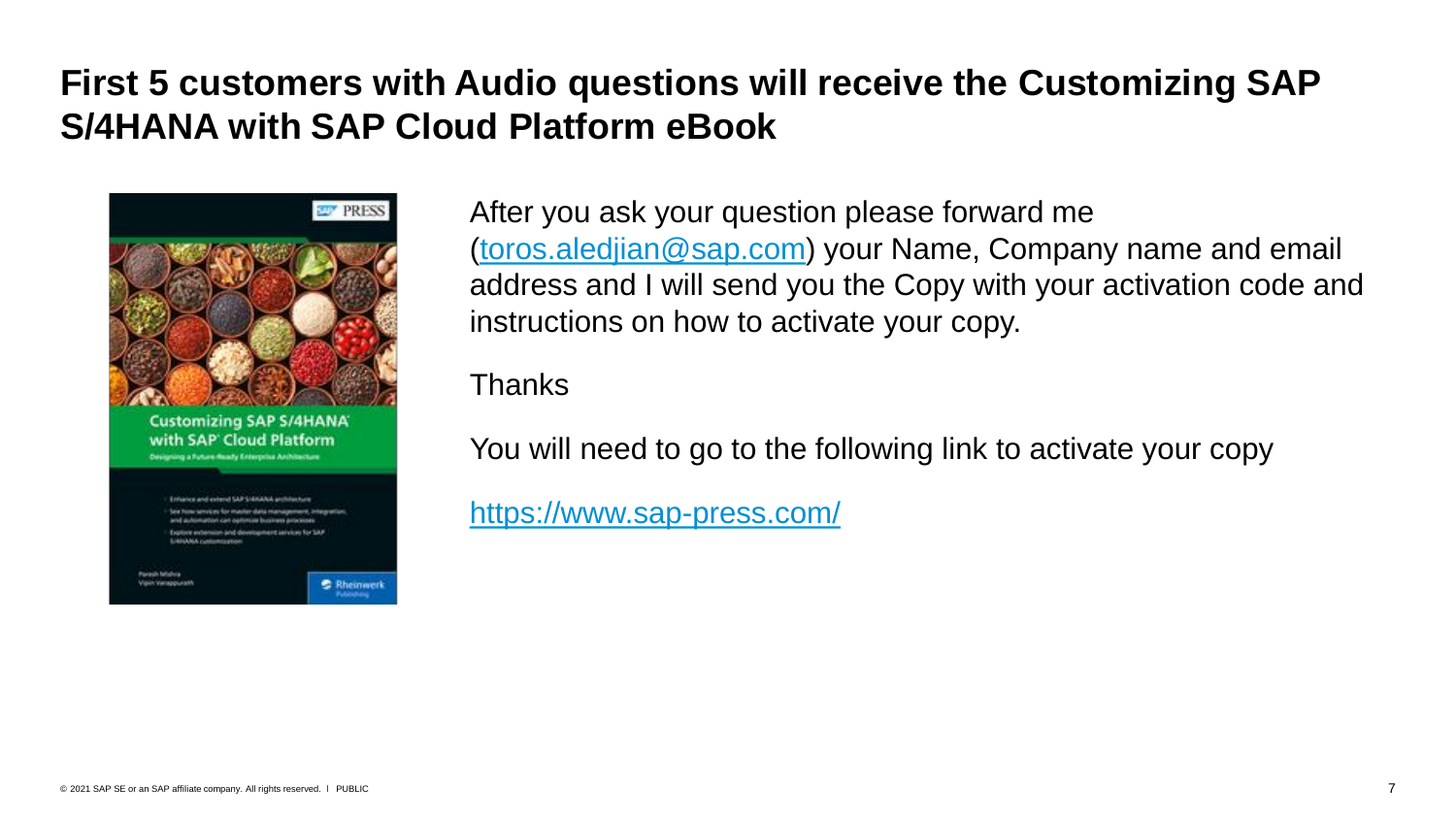# **First 5 customers with Audio questions will receive the Customizing SAP S/4HANA with SAP Cloud Platform eBook**



After you ask your question please forward me [\(toros.aledjian@sap.com\)](mailto:toros.aledjian@sap.com) your Name, Company name and email address and I will send you the Copy with your activation code and instructions on how to activate your copy.

Thanks

You will need to go to the following link to activate your copy

<https://www.sap-press.com/>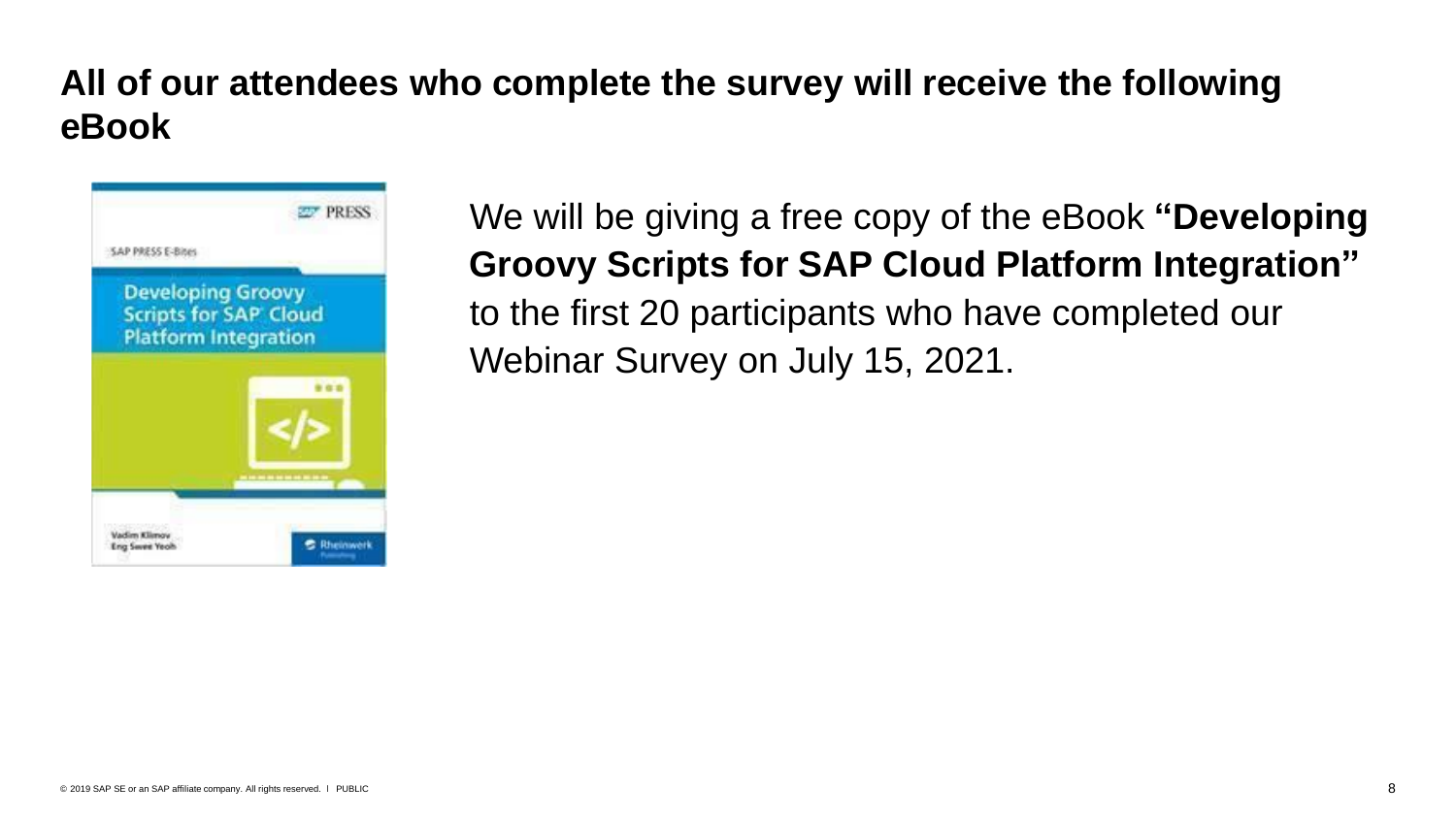# **All of our attendees who complete the survey will receive the following eBook**



We will be giving a free copy of the eBook **"Developing Groovy Scripts for SAP Cloud Platform Integration"**  to the first 20 participants who have completed our Webinar Survey on July 15, 2021.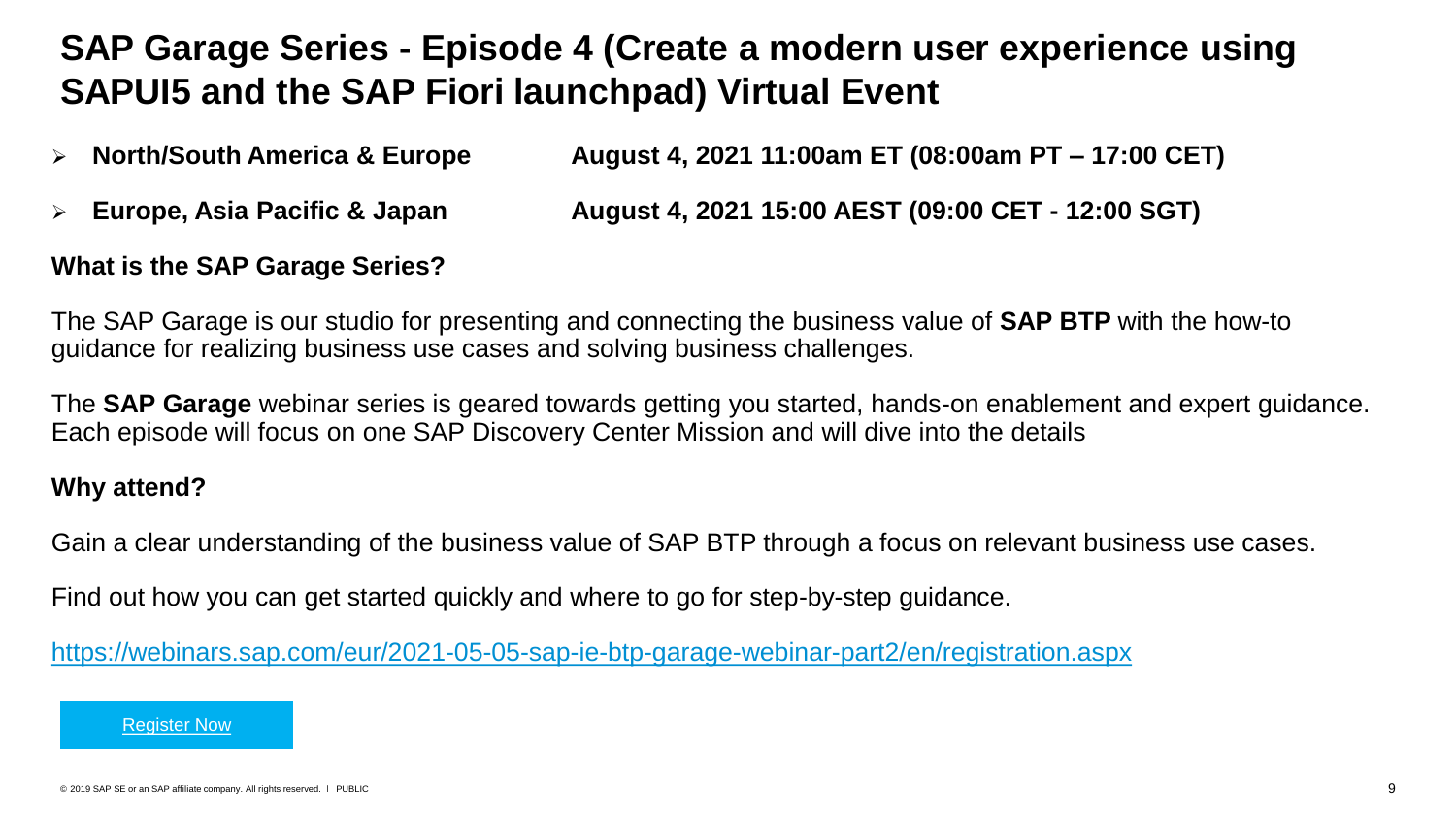# **SAP Garage Series - Episode 4 (Create a modern user experience using SAPUI5 and the SAP Fiori launchpad) Virtual Event**

- ➢ **North/South America & Europe August 4, 2021 11:00am ET (08:00am PT – 17:00 CET)**
- ➢ **Europe, Asia Pacific & Japan August 4, 2021 15:00 AEST (09:00 CET - 12:00 SGT)**

#### **What is the SAP Garage Series?**

The SAP Garage is our studio for presenting and connecting the business value of **SAP BTP** with the how-to guidance for realizing business use cases and solving business challenges.

The **SAP Garage** webinar series is geared towards getting you started, hands-on enablement and expert guidance. Each episode will focus on one SAP Discovery Center Mission and will dive into the details

#### **Why attend?**

Gain a clear understanding of the business value of SAP BTP through a focus on relevant business use cases.

Find out how you can get started quickly and where to go for step-by-step guidance.

<https://webinars.sap.com/eur/2021-05-05-sap-ie-btp-garage-webinar-part2/en/registration.aspx>

[Register Now](https://webinars.sap.com/eur/2021-05-05-sap-ie-btp-garage-webinar-part2/en/registration.aspx)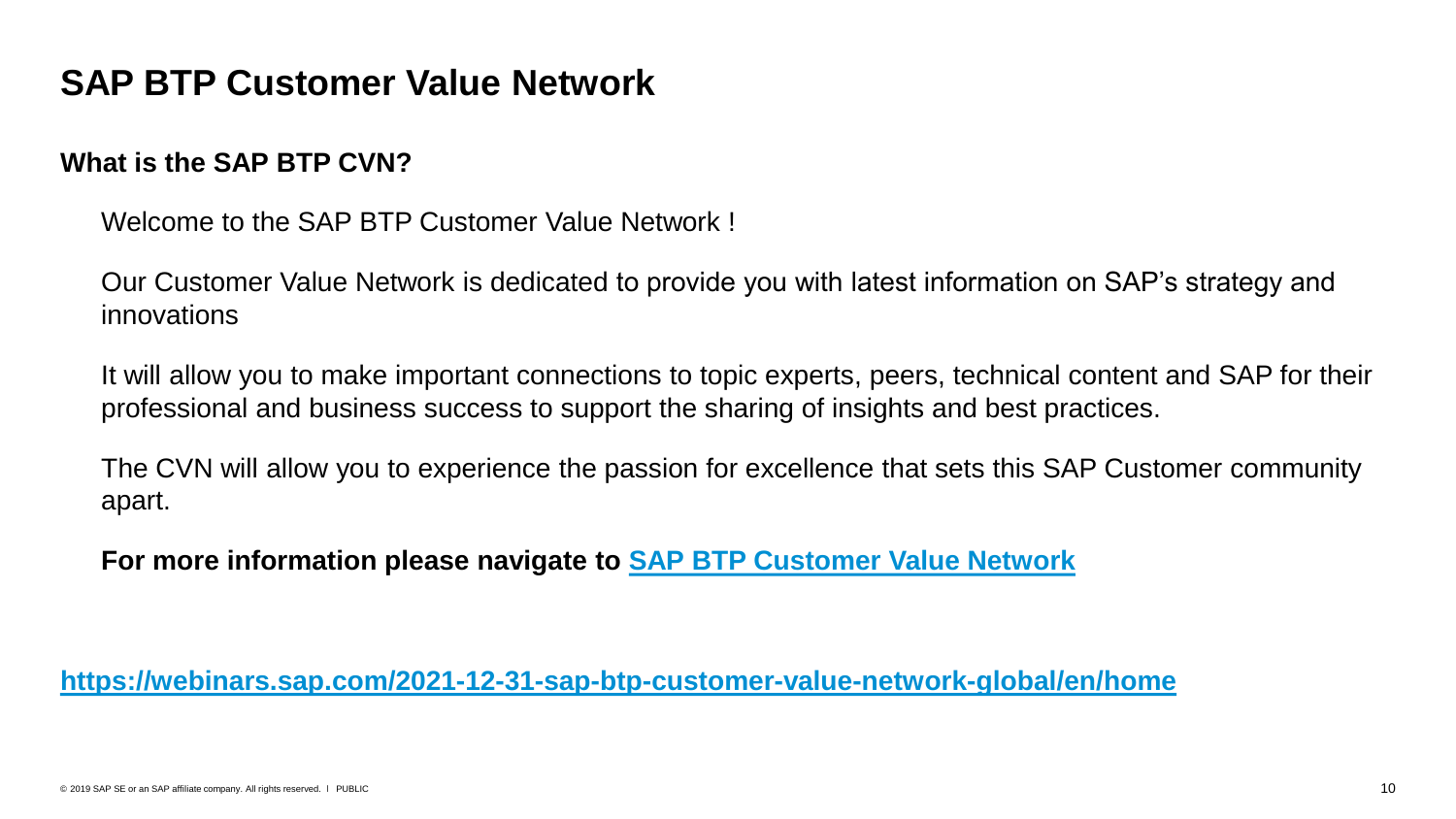## **SAP BTP Customer Value Network**

#### **What is the SAP BTP CVN?**

Welcome to the SAP BTP Customer Value Network!

➢ Our Customer Value Network is dedicated to provide you with latest information on SAP's strategy and innovations

It will allow you to make important connections to topic experts, peers, technical content and SAP for their professional and business success to support the sharing of insights and best practices.

The CVN will allow you to experience the passion for excellence that sets this SAP Customer community apart.

➢ **For more information please navigate to [SAP BTP Customer Value Network](https://webinars.sap.com/2021-12-31-sap-btp-customer-value-network-global/en/home)**

**<https://webinars.sap.com/2021-12-31-sap-btp-customer-value-network-global/en/home>**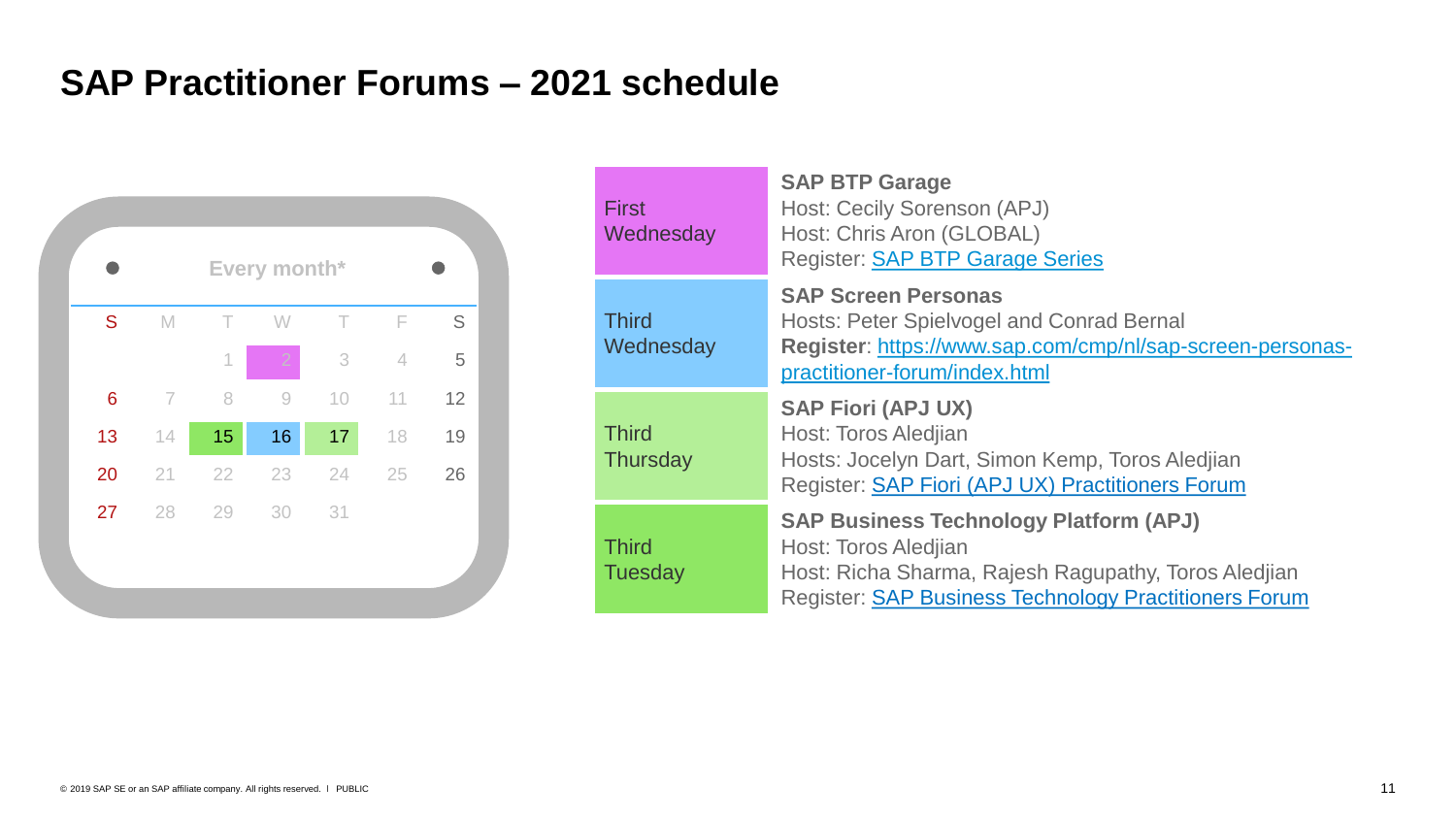## **SAP Practitioner Forums – 2021 schedule**



| <b>First</b><br>Wednesday       | <b>SAP BTP Garage</b><br>Host: Cecily Sorenson (APJ)<br>Host: Chris Aron (GLOBAL)<br><b>Register: SAP BTP Garage Series</b>                                                                   |
|---------------------------------|-----------------------------------------------------------------------------------------------------------------------------------------------------------------------------------------------|
| <b>Third</b><br>Wednesday       | <b>SAP Screen Personas</b><br><b>Hosts: Peter Spielvogel and Conrad Bernal</b><br>Register: https://www.sap.com/cmp/nl/sap-screen-personas-<br>practitioner-forum/index.html                  |
| <b>Third</b><br><b>Thursday</b> | <b>SAP Fiori (APJ UX)</b><br>Host: Toros Aledjian<br>Hosts: Jocelyn Dart, Simon Kemp, Toros Aledjian<br>Register: SAP Fiori (APJ UX) Practitioners Forum                                      |
| <b>Third</b><br><b>Tuesday</b>  | <b>SAP Business Technology Platform (APJ)</b><br>Host: Toros Aledjian<br>Host: Richa Sharma, Rajesh Ragupathy, Toros Aledjian<br><b>Register: SAP Business Technology Practitioners Forum</b> |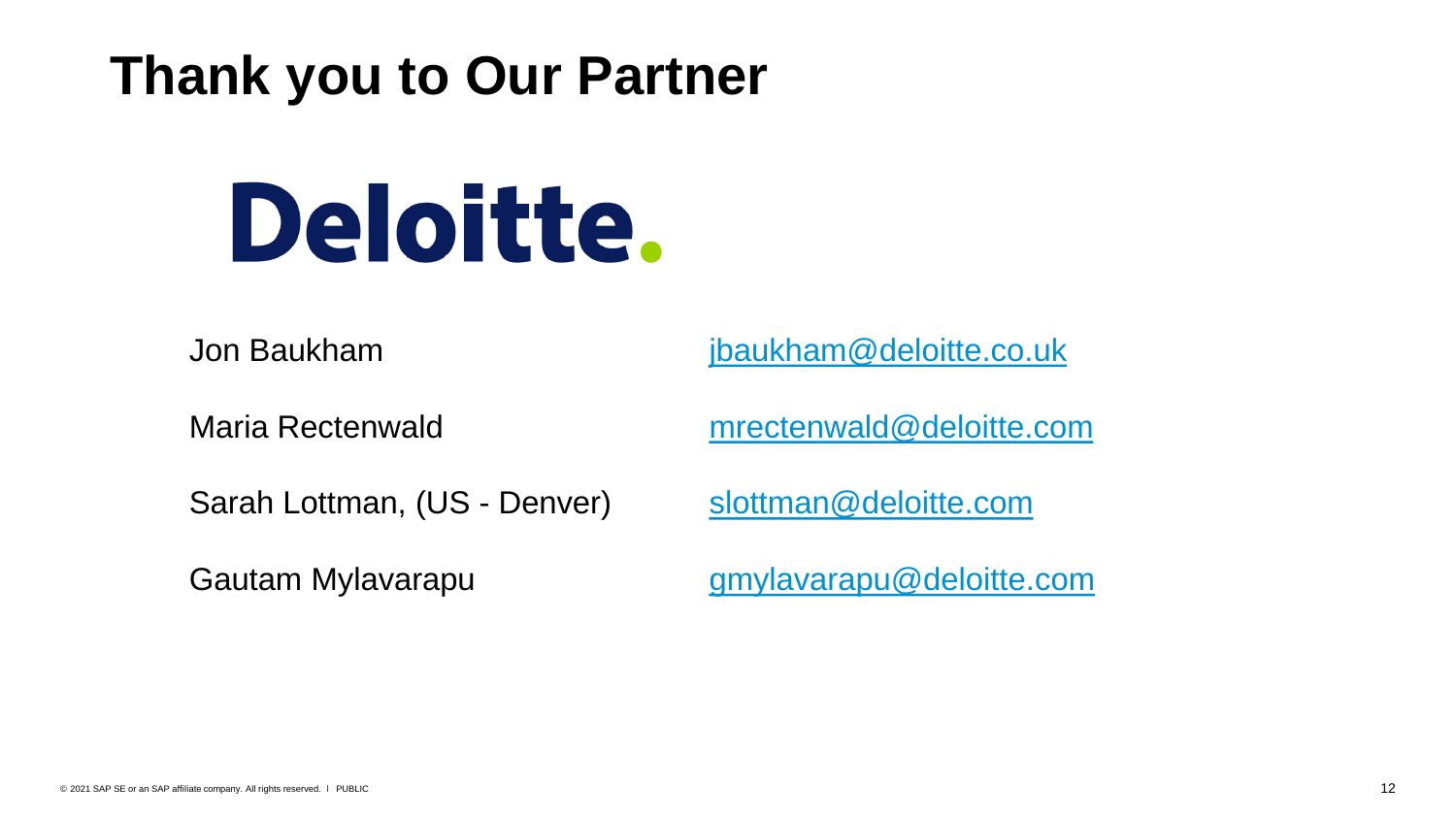# **Thank you to Our Partner**

# Deloitte.

Jon Baukham **[jbaukham@deloitte.co.uk](mailto:jbaukham@deloitte.co.uk)** 

Maria Rectenwald [mrectenwald@deloitte.com](mailto:mrectenwald@deloitte.com)

Sarah Lottman, (US - Denver) [slottman@deloitte.com](mailto:slottman@deloitte.com)

Gautam Mylavarapu eta arrantzen amperatarra arrantza deloitte.com